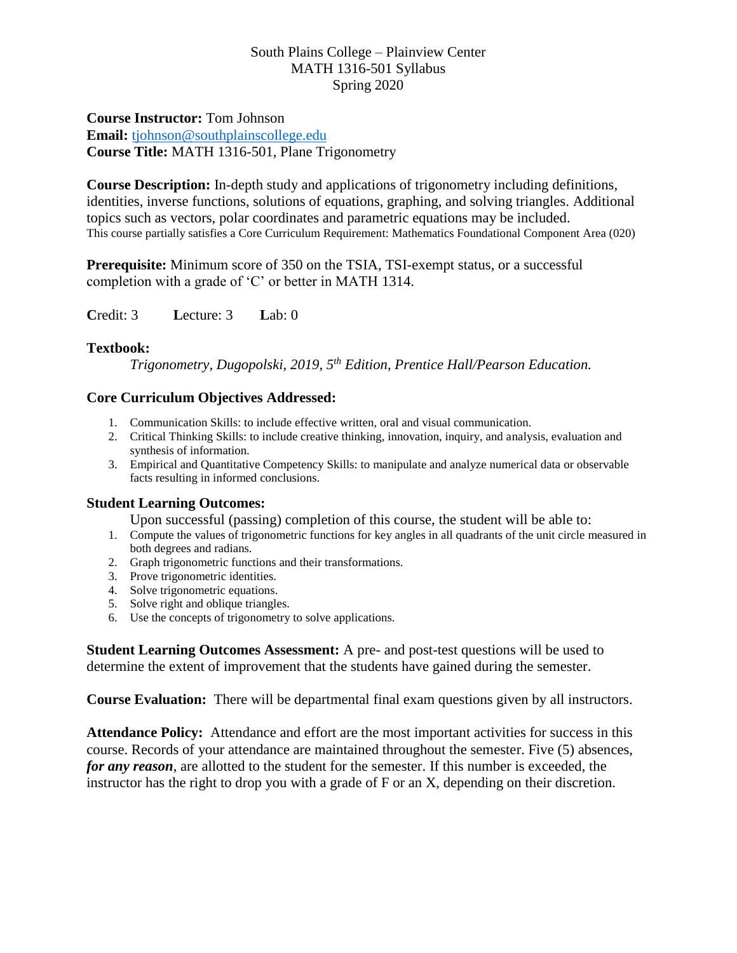**Course Instructor:** Tom Johnson **Email:** [tjohnson@southplainscollege.edu](mailto:tjohnson@southplainscollege.edu) **Course Title:** MATH 1316-501, Plane Trigonometry

**Course Description:** In-depth study and applications of trigonometry including definitions, identities, inverse functions, solutions of equations, graphing, and solving triangles. Additional topics such as vectors, polar coordinates and parametric equations may be included. This course partially satisfies a Core Curriculum Requirement: Mathematics Foundational Component Area (020)

**Prerequisite:** Minimum score of 350 on the TSIA, TSI-exempt status, or a successful completion with a grade of 'C' or better in MATH 1314.

**C**redit: 3 **L**ecture: 3 **L**ab: 0

### **Textbook:**

*Trigonometry, Dugopolski, 2019, 5th Edition, Prentice Hall/Pearson Education.*

#### **Core Curriculum Objectives Addressed:**

- 1. Communication Skills: to include effective written, oral and visual communication.
- 2. Critical Thinking Skills: to include creative thinking, innovation, inquiry, and analysis, evaluation and synthesis of information.
- 3. Empirical and Quantitative Competency Skills: to manipulate and analyze numerical data or observable facts resulting in informed conclusions.

### **Student Learning Outcomes:**

Upon successful (passing) completion of this course, the student will be able to:

- 1. Compute the values of trigonometric functions for key angles in all quadrants of the unit circle measured in both degrees and radians.
- 2. Graph trigonometric functions and their transformations.
- 3. Prove trigonometric identities.
- 4. Solve trigonometric equations.
- 5. Solve right and oblique triangles.
- 6. Use the concepts of trigonometry to solve applications.

**Student Learning Outcomes Assessment:** A pre- and post-test questions will be used to determine the extent of improvement that the students have gained during the semester.

**Course Evaluation:** There will be departmental final exam questions given by all instructors.

**Attendance Policy:** Attendance and effort are the most important activities for success in this course. Records of your attendance are maintained throughout the semester. Five (5) absences, *for any reason*, are allotted to the student for the semester. If this number is exceeded, the instructor has the right to drop you with a grade of F or an X, depending on their discretion.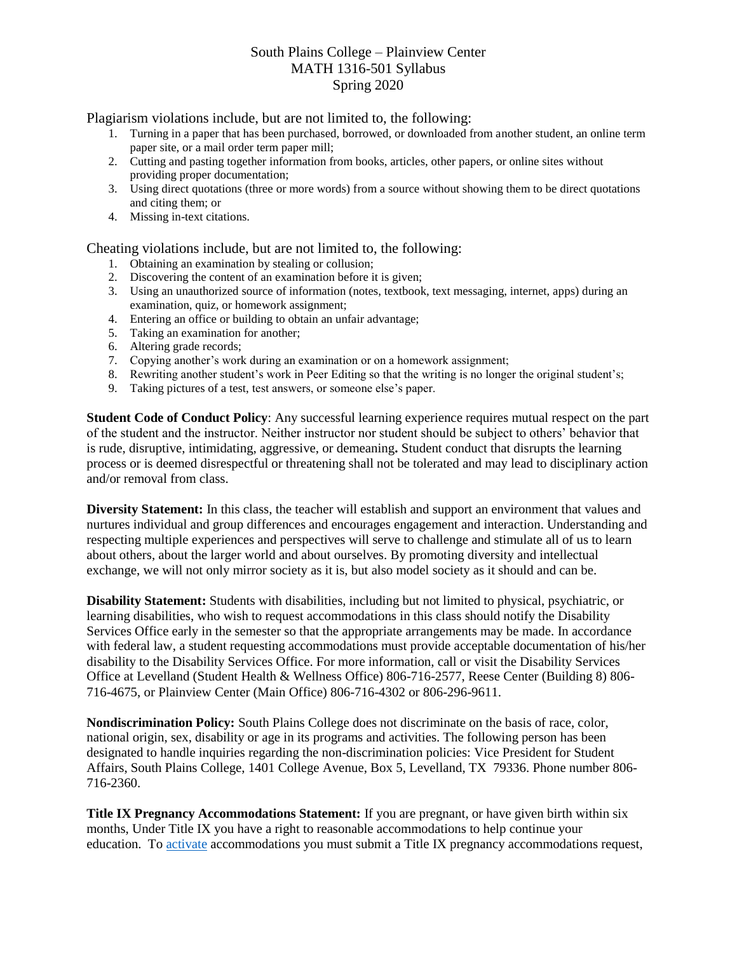Plagiarism violations include, but are not limited to, the following:

- 1. Turning in a paper that has been purchased, borrowed, or downloaded from another student, an online term paper site, or a mail order term paper mill;
- 2. Cutting and pasting together information from books, articles, other papers, or online sites without providing proper documentation;
- 3. Using direct quotations (three or more words) from a source without showing them to be direct quotations and citing them; or
- 4. Missing in-text citations.

Cheating violations include, but are not limited to, the following:

- 1. Obtaining an examination by stealing or collusion;
- 2. Discovering the content of an examination before it is given;
- 3. Using an unauthorized source of information (notes, textbook, text messaging, internet, apps) during an examination, quiz, or homework assignment;
- 4. Entering an office or building to obtain an unfair advantage;
- 5. Taking an examination for another;
- 6. Altering grade records;
- 7. Copying another's work during an examination or on a homework assignment;
- 8. Rewriting another student's work in Peer Editing so that the writing is no longer the original student's;
- 9. Taking pictures of a test, test answers, or someone else's paper.

**Student Code of Conduct Policy**: Any successful learning experience requires mutual respect on the part of the student and the instructor. Neither instructor nor student should be subject to others' behavior that is rude, disruptive, intimidating, aggressive, or demeaning**.** Student conduct that disrupts the learning process or is deemed disrespectful or threatening shall not be tolerated and may lead to disciplinary action and/or removal from class.

**Diversity Statement:** In this class, the teacher will establish and support an environment that values and nurtures individual and group differences and encourages engagement and interaction. Understanding and respecting multiple experiences and perspectives will serve to challenge and stimulate all of us to learn about others, about the larger world and about ourselves. By promoting diversity and intellectual exchange, we will not only mirror society as it is, but also model society as it should and can be.

**Disability Statement:** Students with disabilities, including but not limited to physical, psychiatric, or learning disabilities, who wish to request accommodations in this class should notify the Disability Services Office early in the semester so that the appropriate arrangements may be made. In accordance with federal law, a student requesting accommodations must provide acceptable documentation of his/her disability to the Disability Services Office. For more information, call or visit the Disability Services Office at Levelland (Student Health & Wellness Office) 806-716-2577, Reese Center (Building 8) 806- 716-4675, or Plainview Center (Main Office) 806-716-4302 or 806-296-9611.

**Nondiscrimination Policy:** South Plains College does not discriminate on the basis of race, color, national origin, sex, disability or age in its programs and activities. The following person has been designated to handle inquiries regarding the non-discrimination policies: Vice President for Student Affairs, South Plains College, 1401 College Avenue, Box 5, Levelland, TX 79336. Phone number 806- 716-2360.

**Title IX Pregnancy Accommodations Statement:** If you are pregnant, or have given birth within six months, Under Title IX you have a right to reasonable accommodations to help continue your education. To [activate](http://www.southplainscollege.edu/employees/manualshandbooks/facultyhandbook/sec4.php) accommodations you must submit a Title IX pregnancy accommodations request,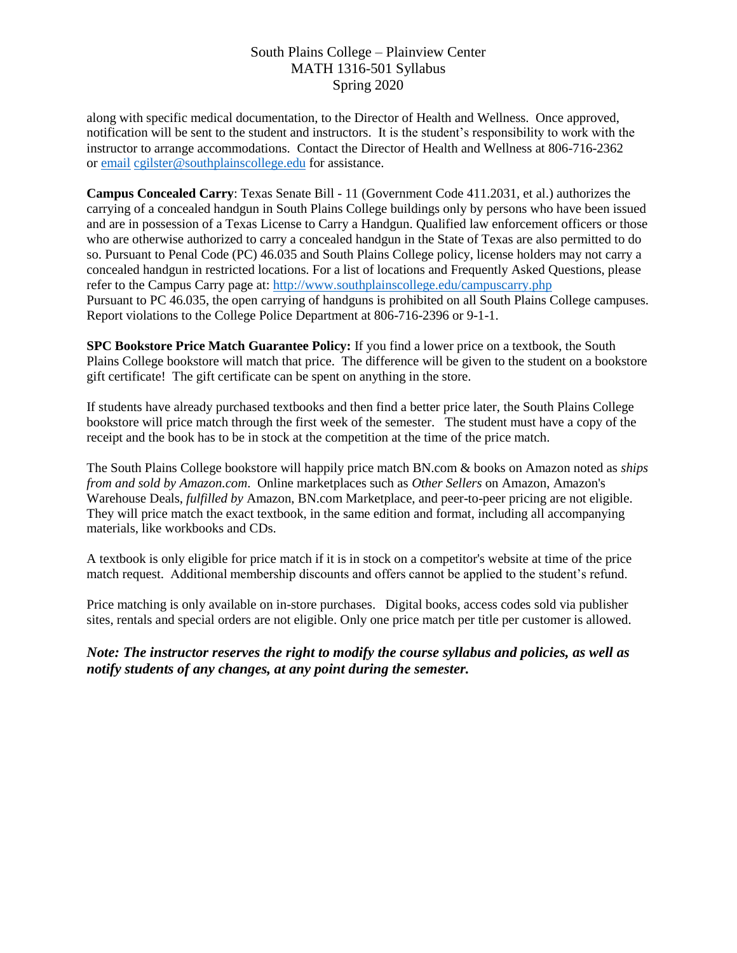along with specific medical documentation, to the Director of Health and Wellness. Once approved, notification will be sent to the student and instructors. It is the student's responsibility to work with the instructor to arrange accommodations. Contact the Director of Health and Wellness at 806-716-2362 or [email](http://www.southplainscollege.edu/employees/manualshandbooks/facultyhandbook/sec4.php) [cgilster@southplainscollege.edu](mailto:cgilster@southplainscollege.edu) for assistance.

**Campus Concealed Carry**: Texas Senate Bill - 11 (Government Code 411.2031, et al.) authorizes the carrying of a concealed handgun in South Plains College buildings only by persons who have been issued and are in possession of a Texas License to Carry a Handgun. Qualified law enforcement officers or those who are otherwise authorized to carry a concealed handgun in the State of Texas are also permitted to do so. Pursuant to Penal Code (PC) 46.035 and South Plains College policy, license holders may not carry a concealed handgun in restricted locations. For a list of locations and Frequently Asked Questions, please refer to the Campus Carry page at: <http://www.southplainscollege.edu/campuscarry.php> Pursuant to PC 46.035, the open carrying of handguns is prohibited on all South Plains College campuses. Report violations to the College Police Department at 806-716-2396 or 9-1-1.

**SPC Bookstore Price Match Guarantee Policy:** If you find a lower price on a textbook, the South Plains College bookstore will match that price. The difference will be given to the student on a bookstore gift certificate! The gift certificate can be spent on anything in the store.

If students have already purchased textbooks and then find a better price later, the South Plains College bookstore will price match through the first week of the semester. The student must have a copy of the receipt and the book has to be in stock at the competition at the time of the price match.

The South Plains College bookstore will happily price match BN.com & books on Amazon noted as *ships from and sold by Amazon.com*. Online marketplaces such as *Other Sellers* on Amazon, Amazon's Warehouse Deals, *fulfilled by* Amazon, BN.com Marketplace, and peer-to-peer pricing are not eligible. They will price match the exact textbook, in the same edition and format, including all accompanying materials, like workbooks and CDs.

A textbook is only eligible for price match if it is in stock on a competitor's website at time of the price match request. Additional membership discounts and offers cannot be applied to the student's refund.

Price matching is only available on in-store purchases. Digital books, access codes sold via publisher sites, rentals and special orders are not eligible. Only one price match per title per customer is allowed.

*Note: The instructor reserves the right to modify the course syllabus and policies, as well as notify students of any changes, at any point during the semester.*